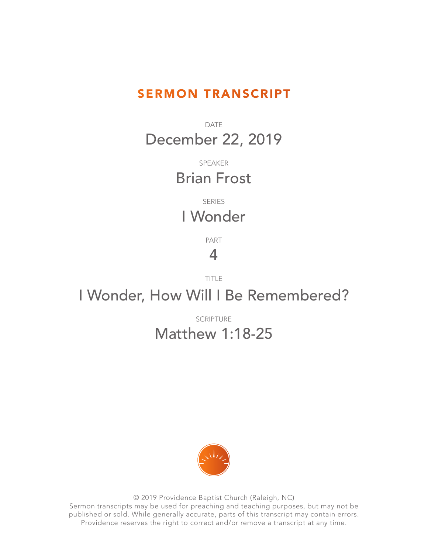## SERMON TRANSCRIPT

DATE December 22, 2019

> SPEAKER Brian Frost

SERIES I Wonder

PART

## 4

TITLE

## I Wonder, How Will I Be Remembered?

## SCRIPTURE Matthew 1:18-25



© 2019 Providence Baptist Church (Raleigh, NC) Sermon transcripts may be used for preaching and teaching purposes, but may not be published or sold. While generally accurate, parts of this transcript may contain errors. Providence reserves the right to correct and/or remove a transcript at any time.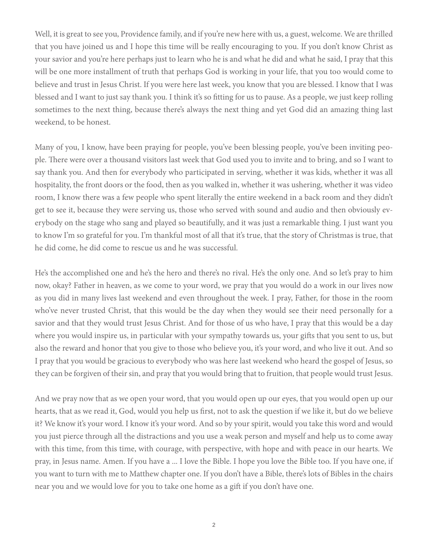Well, it is great to see you, Providence family, and if you're new here with us, a guest, welcome. We are thrilled that you have joined us and I hope this time will be really encouraging to you. If you don't know Christ as your savior and you're here perhaps just to learn who he is and what he did and what he said, I pray that this will be one more installment of truth that perhaps God is working in your life, that you too would come to believe and trust in Jesus Christ. If you were here last week, you know that you are blessed. I know that I was blessed and I want to just say thank you. I think it's so fitting for us to pause. As a people, we just keep rolling sometimes to the next thing, because there's always the next thing and yet God did an amazing thing last weekend, to be honest.

Many of you, I know, have been praying for people, you've been blessing people, you've been inviting people. There were over a thousand visitors last week that God used you to invite and to bring, and so I want to say thank you. And then for everybody who participated in serving, whether it was kids, whether it was all hospitality, the front doors or the food, then as you walked in, whether it was ushering, whether it was video room, I know there was a few people who spent literally the entire weekend in a back room and they didn't get to see it, because they were serving us, those who served with sound and audio and then obviously everybody on the stage who sang and played so beautifully, and it was just a remarkable thing. I just want you to know I'm so grateful for you. I'm thankful most of all that it's true, that the story of Christmas is true, that he did come, he did come to rescue us and he was successful.

He's the accomplished one and he's the hero and there's no rival. He's the only one. And so let's pray to him now, okay? Father in heaven, as we come to your word, we pray that you would do a work in our lives now as you did in many lives last weekend and even throughout the week. I pray, Father, for those in the room who've never trusted Christ, that this would be the day when they would see their need personally for a savior and that they would trust Jesus Christ. And for those of us who have, I pray that this would be a day where you would inspire us, in particular with your sympathy towards us, your gifts that you sent to us, but also the reward and honor that you give to those who believe you, it's your word, and who live it out. And so I pray that you would be gracious to everybody who was here last weekend who heard the gospel of Jesus, so they can be forgiven of their sin, and pray that you would bring that to fruition, that people would trust Jesus.

And we pray now that as we open your word, that you would open up our eyes, that you would open up our hearts, that as we read it, God, would you help us first, not to ask the question if we like it, but do we believe it? We know it's your word. I know it's your word. And so by your spirit, would you take this word and would you just pierce through all the distractions and you use a weak person and myself and help us to come away with this time, from this time, with courage, with perspective, with hope and with peace in our hearts. We pray, in Jesus name. Amen. If you have a ... I love the Bible. I hope you love the Bible too. If you have one, if you want to turn with me to Matthew chapter one. If you don't have a Bible, there's lots of Bibles in the chairs near you and we would love for you to take one home as a gift if you don't have one.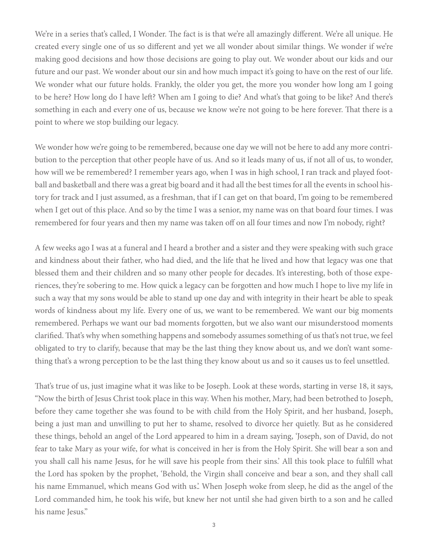We're in a series that's called, I Wonder. The fact is is that we're all amazingly different. We're all unique. He created every single one of us so different and yet we all wonder about similar things. We wonder if we're making good decisions and how those decisions are going to play out. We wonder about our kids and our future and our past. We wonder about our sin and how much impact it's going to have on the rest of our life. We wonder what our future holds. Frankly, the older you get, the more you wonder how long am I going to be here? How long do I have left? When am I going to die? And what's that going to be like? And there's something in each and every one of us, because we know we're not going to be here forever. That there is a point to where we stop building our legacy.

We wonder how we're going to be remembered, because one day we will not be here to add any more contribution to the perception that other people have of us. And so it leads many of us, if not all of us, to wonder, how will we be remembered? I remember years ago, when I was in high school, I ran track and played football and basketball and there was a great big board and it had all the best times for all the events in school history for track and I just assumed, as a freshman, that if I can get on that board, I'm going to be remembered when I get out of this place. And so by the time I was a senior, my name was on that board four times. I was remembered for four years and then my name was taken off on all four times and now I'm nobody, right?

A few weeks ago I was at a funeral and I heard a brother and a sister and they were speaking with such grace and kindness about their father, who had died, and the life that he lived and how that legacy was one that blessed them and their children and so many other people for decades. It's interesting, both of those experiences, they're sobering to me. How quick a legacy can be forgotten and how much I hope to live my life in such a way that my sons would be able to stand up one day and with integrity in their heart be able to speak words of kindness about my life. Every one of us, we want to be remembered. We want our big moments remembered. Perhaps we want our bad moments forgotten, but we also want our misunderstood moments clarified. That's why when something happens and somebody assumes something of us that's not true, we feel obligated to try to clarify, because that may be the last thing they know about us, and we don't want something that's a wrong perception to be the last thing they know about us and so it causes us to feel unsettled.

That's true of us, just imagine what it was like to be Joseph. Look at these words, starting in verse 18, it says, "Now the birth of Jesus Christ took place in this way. When his mother, Mary, had been betrothed to Joseph, before they came together she was found to be with child from the Holy Spirit, and her husband, Joseph, being a just man and unwilling to put her to shame, resolved to divorce her quietly. But as he considered these things, behold an angel of the Lord appeared to him in a dream saying, 'Joseph, son of David, do not fear to take Mary as your wife, for what is conceived in her is from the Holy Spirit. She will bear a son and you shall call his name Jesus, for he will save his people from their sins.' All this took place to fulfill what the Lord has spoken by the prophet, 'Behold, the Virgin shall conceive and bear a son, and they shall call his name Emmanuel, which means God with us.'. When Joseph woke from sleep, he did as the angel of the Lord commanded him, he took his wife, but knew her not until she had given birth to a son and he called his name Jesus."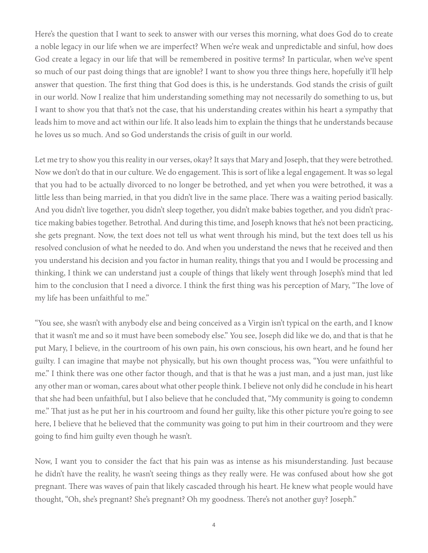Here's the question that I want to seek to answer with our verses this morning, what does God do to create a noble legacy in our life when we are imperfect? When we're weak and unpredictable and sinful, how does God create a legacy in our life that will be remembered in positive terms? In particular, when we've spent so much of our past doing things that are ignoble? I want to show you three things here, hopefully it'll help answer that question. The first thing that God does is this, is he understands. God stands the crisis of guilt in our world. Now I realize that him understanding something may not necessarily do something to us, but I want to show you that that's not the case, that his understanding creates within his heart a sympathy that leads him to move and act within our life. It also leads him to explain the things that he understands because he loves us so much. And so God understands the crisis of guilt in our world.

Let me try to show you this reality in our verses, okay? It says that Mary and Joseph, that they were betrothed. Now we don't do that in our culture. We do engagement. This is sort of like a legal engagement. It was so legal that you had to be actually divorced to no longer be betrothed, and yet when you were betrothed, it was a little less than being married, in that you didn't live in the same place. There was a waiting period basically. And you didn't live together, you didn't sleep together, you didn't make babies together, and you didn't practice making babies together. Betrothal. And during this time, and Joseph knows that he's not been practicing, she gets pregnant. Now, the text does not tell us what went through his mind, but the text does tell us his resolved conclusion of what he needed to do. And when you understand the news that he received and then you understand his decision and you factor in human reality, things that you and I would be processing and thinking, I think we can understand just a couple of things that likely went through Joseph's mind that led him to the conclusion that I need a divorce. I think the first thing was his perception of Mary, "The love of my life has been unfaithful to me."

"You see, she wasn't with anybody else and being conceived as a Virgin isn't typical on the earth, and I know that it wasn't me and so it must have been somebody else." You see, Joseph did like we do, and that is that he put Mary, I believe, in the courtroom of his own pain, his own conscious, his own heart, and he found her guilty. I can imagine that maybe not physically, but his own thought process was, "You were unfaithful to me." I think there was one other factor though, and that is that he was a just man, and a just man, just like any other man or woman, cares about what other people think. I believe not only did he conclude in his heart that she had been unfaithful, but I also believe that he concluded that, "My community is going to condemn me." That just as he put her in his courtroom and found her guilty, like this other picture you're going to see here, I believe that he believed that the community was going to put him in their courtroom and they were going to find him guilty even though he wasn't.

Now, I want you to consider the fact that his pain was as intense as his misunderstanding. Just because he didn't have the reality, he wasn't seeing things as they really were. He was confused about how she got pregnant. There was waves of pain that likely cascaded through his heart. He knew what people would have thought, "Oh, she's pregnant? She's pregnant? Oh my goodness. There's not another guy? Joseph."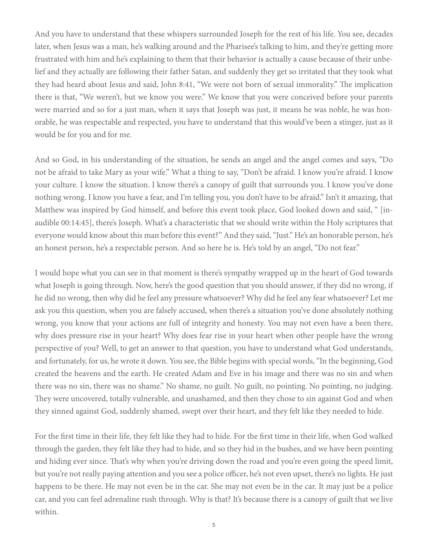And you have to understand that these whispers surrounded Joseph for the rest of his life. You see, decades later, when Jesus was a man, he's walking around and the Pharisee's talking to him, and they're getting more frustrated with him and he's explaining to them that their behavior is actually a cause because of their unbelief and they actually are following their father Satan, and suddenly they get so irritated that they took what they had heard about Jesus and said, John 8:41, "We were not born of sexual immorality." The implication there is that, "We weren't, but we know you were." We know that you were conceived before your parents were married and so for a just man, when it says that Joseph was just, it means he was noble, he was honorable, he was respectable and respected, you have to understand that this would've been a stinger, just as it would be for you and for me.

And so God, in his understanding of the situation, he sends an angel and the angel comes and says, "Do not be afraid to take Mary as your wife." What a thing to say, "Don't be afraid. I know you're afraid. I know your culture. I know the situation. I know there's a canopy of guilt that surrounds you. I know you've done nothing wrong. I know you have a fear, and I'm telling you, you don't have to be afraid." Isn't it amazing, that Matthew was inspired by God himself, and before this event took place, God looked down and said, " [inaudible 00:14:45], there's Joseph. What's a characteristic that we should write within the Holy scriptures that everyone would know about this man before this event?" And they said, "Just." He's an honorable person, he's an honest person, he's a respectable person. And so here he is. He's told by an angel, "Do not fear."

I would hope what you can see in that moment is there's sympathy wrapped up in the heart of God towards what Joseph is going through. Now, here's the good question that you should answer, if they did no wrong, if he did no wrong, then why did he feel any pressure whatsoever? Why did he feel any fear whatsoever? Let me ask you this question, when you are falsely accused, when there's a situation you've done absolutely nothing wrong, you know that your actions are full of integrity and honesty. You may not even have a been there, why does pressure rise in your heart? Why does fear rise in your heart when other people have the wrong perspective of you? Well, to get an answer to that question, you have to understand what God understands, and fortunately, for us, he wrote it down. You see, the Bible begins with special words, "In the beginning, God created the heavens and the earth. He created Adam and Eve in his image and there was no sin and when there was no sin, there was no shame." No shame, no guilt. No guilt, no pointing. No pointing, no judging. They were uncovered, totally vulnerable, and unashamed, and then they chose to sin against God and when they sinned against God, suddenly shamed, swept over their heart, and they felt like they needed to hide.

For the first time in their life, they felt like they had to hide. For the first time in their life, when God walked through the garden, they felt like they had to hide, and so they hid in the bushes, and we have been pointing and hiding ever since. That's why when you're driving down the road and you're even going the speed limit, but you're not really paying attention and you see a police officer, he's not even upset, there's no lights. He just happens to be there. He may not even be in the car. She may not even be in the car. It may just be a police car, and you can feel adrenaline rush through. Why is that? It's because there is a canopy of guilt that we live within.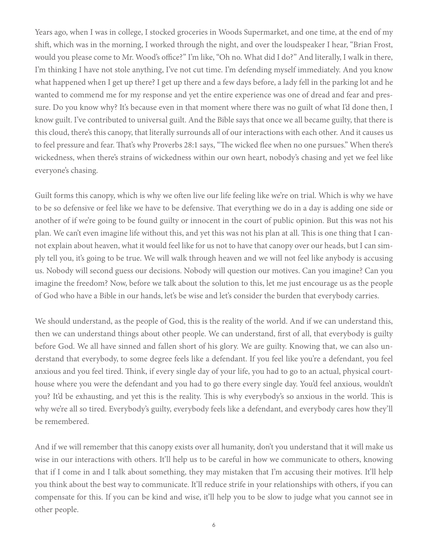Years ago, when I was in college, I stocked groceries in Woods Supermarket, and one time, at the end of my shift, which was in the morning, I worked through the night, and over the loudspeaker I hear, "Brian Frost, would you please come to Mr. Wood's office?" I'm like, "Oh no. What did I do?" And literally, I walk in there, I'm thinking I have not stole anything, I've not cut time. I'm defending myself immediately. And you know what happened when I get up there? I get up there and a few days before, a lady fell in the parking lot and he wanted to commend me for my response and yet the entire experience was one of dread and fear and pressure. Do you know why? It's because even in that moment where there was no guilt of what I'd done then, I know guilt. I've contributed to universal guilt. And the Bible says that once we all became guilty, that there is this cloud, there's this canopy, that literally surrounds all of our interactions with each other. And it causes us to feel pressure and fear. That's why Proverbs 28:1 says, "The wicked flee when no one pursues." When there's wickedness, when there's strains of wickedness within our own heart, nobody's chasing and yet we feel like everyone's chasing.

Guilt forms this canopy, which is why we often live our life feeling like we're on trial. Which is why we have to be so defensive or feel like we have to be defensive. That everything we do in a day is adding one side or another of if we're going to be found guilty or innocent in the court of public opinion. But this was not his plan. We can't even imagine life without this, and yet this was not his plan at all. This is one thing that I cannot explain about heaven, what it would feel like for us not to have that canopy over our heads, but I can simply tell you, it's going to be true. We will walk through heaven and we will not feel like anybody is accusing us. Nobody will second guess our decisions. Nobody will question our motives. Can you imagine? Can you imagine the freedom? Now, before we talk about the solution to this, let me just encourage us as the people of God who have a Bible in our hands, let's be wise and let's consider the burden that everybody carries.

We should understand, as the people of God, this is the reality of the world. And if we can understand this, then we can understand things about other people. We can understand, first of all, that everybody is guilty before God. We all have sinned and fallen short of his glory. We are guilty. Knowing that, we can also understand that everybody, to some degree feels like a defendant. If you feel like you're a defendant, you feel anxious and you feel tired. Think, if every single day of your life, you had to go to an actual, physical courthouse where you were the defendant and you had to go there every single day. You'd feel anxious, wouldn't you? It'd be exhausting, and yet this is the reality. This is why everybody's so anxious in the world. This is why we're all so tired. Everybody's guilty, everybody feels like a defendant, and everybody cares how they'll be remembered.

And if we will remember that this canopy exists over all humanity, don't you understand that it will make us wise in our interactions with others. It'll help us to be careful in how we communicate to others, knowing that if I come in and I talk about something, they may mistaken that I'm accusing their motives. It'll help you think about the best way to communicate. It'll reduce strife in your relationships with others, if you can compensate for this. If you can be kind and wise, it'll help you to be slow to judge what you cannot see in other people.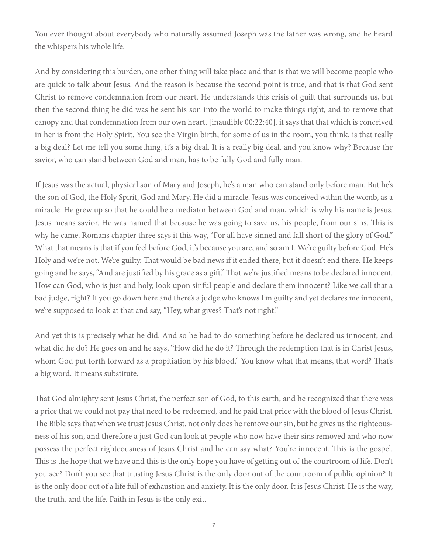You ever thought about everybody who naturally assumed Joseph was the father was wrong, and he heard the whispers his whole life.

And by considering this burden, one other thing will take place and that is that we will become people who are quick to talk about Jesus. And the reason is because the second point is true, and that is that God sent Christ to remove condemnation from our heart. He understands this crisis of guilt that surrounds us, but then the second thing he did was he sent his son into the world to make things right, and to remove that canopy and that condemnation from our own heart. [inaudible 00:22:40], it says that that which is conceived in her is from the Holy Spirit. You see the Virgin birth, for some of us in the room, you think, is that really a big deal? Let me tell you something, it's a big deal. It is a really big deal, and you know why? Because the savior, who can stand between God and man, has to be fully God and fully man.

If Jesus was the actual, physical son of Mary and Joseph, he's a man who can stand only before man. But he's the son of God, the Holy Spirit, God and Mary. He did a miracle. Jesus was conceived within the womb, as a miracle. He grew up so that he could be a mediator between God and man, which is why his name is Jesus. Jesus means savior. He was named that because he was going to save us, his people, from our sins. This is why he came. Romans chapter three says it this way, "For all have sinned and fall short of the glory of God." What that means is that if you feel before God, it's because you are, and so am I. We're guilty before God. He's Holy and we're not. We're guilty. That would be bad news if it ended there, but it doesn't end there. He keeps going and he says, "And are justified by his grace as a gift." That we're justified means to be declared innocent. How can God, who is just and holy, look upon sinful people and declare them innocent? Like we call that a bad judge, right? If you go down here and there's a judge who knows I'm guilty and yet declares me innocent, we're supposed to look at that and say, "Hey, what gives? That's not right."

And yet this is precisely what he did. And so he had to do something before he declared us innocent, and what did he do? He goes on and he says, "How did he do it? Through the redemption that is in Christ Jesus, whom God put forth forward as a propitiation by his blood." You know what that means, that word? That's a big word. It means substitute.

That God almighty sent Jesus Christ, the perfect son of God, to this earth, and he recognized that there was a price that we could not pay that need to be redeemed, and he paid that price with the blood of Jesus Christ. The Bible says that when we trust Jesus Christ, not only does he remove our sin, but he gives us the righteousness of his son, and therefore a just God can look at people who now have their sins removed and who now possess the perfect righteousness of Jesus Christ and he can say what? You're innocent. This is the gospel. This is the hope that we have and this is the only hope you have of getting out of the courtroom of life. Don't you see? Don't you see that trusting Jesus Christ is the only door out of the courtroom of public opinion? It is the only door out of a life full of exhaustion and anxiety. It is the only door. It is Jesus Christ. He is the way, the truth, and the life. Faith in Jesus is the only exit.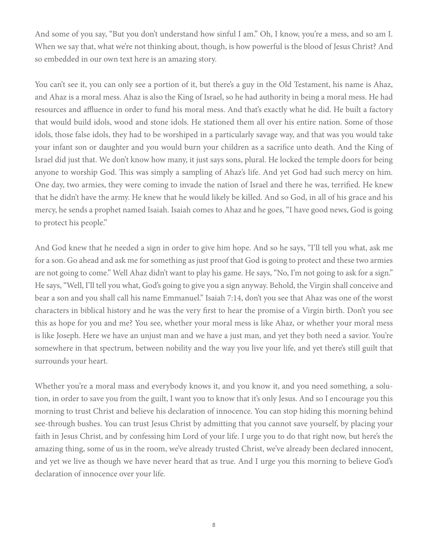And some of you say, "But you don't understand how sinful I am." Oh, I know, you're a mess, and so am I. When we say that, what we're not thinking about, though, is how powerful is the blood of Jesus Christ? And so embedded in our own text here is an amazing story.

You can't see it, you can only see a portion of it, but there's a guy in the Old Testament, his name is Ahaz, and Ahaz is a moral mess. Ahaz is also the King of Israel, so he had authority in being a moral mess. He had resources and affluence in order to fund his moral mess. And that's exactly what he did. He built a factory that would build idols, wood and stone idols. He stationed them all over his entire nation. Some of those idols, those false idols, they had to be worshiped in a particularly savage way, and that was you would take your infant son or daughter and you would burn your children as a sacrifice unto death. And the King of Israel did just that. We don't know how many, it just says sons, plural. He locked the temple doors for being anyone to worship God. This was simply a sampling of Ahaz's life. And yet God had such mercy on him. One day, two armies, they were coming to invade the nation of Israel and there he was, terrified. He knew that he didn't have the army. He knew that he would likely be killed. And so God, in all of his grace and his mercy, he sends a prophet named Isaiah. Isaiah comes to Ahaz and he goes, "I have good news, God is going to protect his people."

And God knew that he needed a sign in order to give him hope. And so he says, "I'll tell you what, ask me for a son. Go ahead and ask me for something as just proof that God is going to protect and these two armies are not going to come." Well Ahaz didn't want to play his game. He says, "No, I'm not going to ask for a sign." He says, "Well, I'll tell you what, God's going to give you a sign anyway. Behold, the Virgin shall conceive and bear a son and you shall call his name Emmanuel." Isaiah 7:14, don't you see that Ahaz was one of the worst characters in biblical history and he was the very first to hear the promise of a Virgin birth. Don't you see this as hope for you and me? You see, whether your moral mess is like Ahaz, or whether your moral mess is like Joseph. Here we have an unjust man and we have a just man, and yet they both need a savior. You're somewhere in that spectrum, between nobility and the way you live your life, and yet there's still guilt that surrounds your heart.

Whether you're a moral mass and everybody knows it, and you know it, and you need something, a solution, in order to save you from the guilt, I want you to know that it's only Jesus. And so I encourage you this morning to trust Christ and believe his declaration of innocence. You can stop hiding this morning behind see-through bushes. You can trust Jesus Christ by admitting that you cannot save yourself, by placing your faith in Jesus Christ, and by confessing him Lord of your life. I urge you to do that right now, but here's the amazing thing, some of us in the room, we've already trusted Christ, we've already been declared innocent, and yet we live as though we have never heard that as true. And I urge you this morning to believe God's declaration of innocence over your life.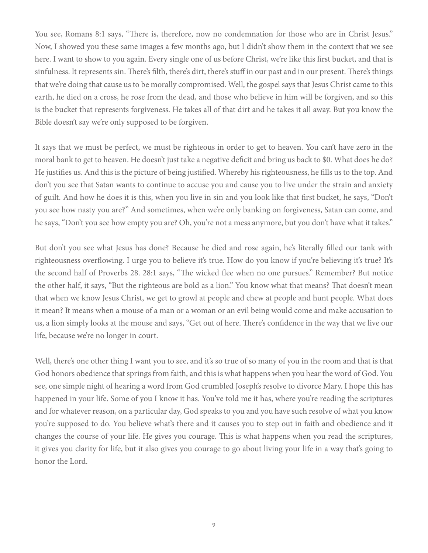You see, Romans 8:1 says, "There is, therefore, now no condemnation for those who are in Christ Jesus." Now, I showed you these same images a few months ago, but I didn't show them in the context that we see here. I want to show to you again. Every single one of us before Christ, we're like this first bucket, and that is sinfulness. It represents sin. There's filth, there's dirt, there's stuff in our past and in our present. There's things that we're doing that cause us to be morally compromised. Well, the gospel says that Jesus Christ came to this earth, he died on a cross, he rose from the dead, and those who believe in him will be forgiven, and so this is the bucket that represents forgiveness. He takes all of that dirt and he takes it all away. But you know the Bible doesn't say we're only supposed to be forgiven.

It says that we must be perfect, we must be righteous in order to get to heaven. You can't have zero in the moral bank to get to heaven. He doesn't just take a negative deficit and bring us back to \$0. What does he do? He justifies us. And this is the picture of being justified. Whereby his righteousness, he fills us to the top. And don't you see that Satan wants to continue to accuse you and cause you to live under the strain and anxiety of guilt. And how he does it is this, when you live in sin and you look like that first bucket, he says, "Don't you see how nasty you are?" And sometimes, when we're only banking on forgiveness, Satan can come, and he says, "Don't you see how empty you are? Oh, you're not a mess anymore, but you don't have what it takes."

But don't you see what Jesus has done? Because he died and rose again, he's literally filled our tank with righteousness overflowing. I urge you to believe it's true. How do you know if you're believing it's true? It's the second half of Proverbs 28. 28:1 says, "The wicked flee when no one pursues." Remember? But notice the other half, it says, "But the righteous are bold as a lion." You know what that means? That doesn't mean that when we know Jesus Christ, we get to growl at people and chew at people and hunt people. What does it mean? It means when a mouse of a man or a woman or an evil being would come and make accusation to us, a lion simply looks at the mouse and says, "Get out of here. There's confidence in the way that we live our life, because we're no longer in court.

Well, there's one other thing I want you to see, and it's so true of so many of you in the room and that is that God honors obedience that springs from faith, and this is what happens when you hear the word of God. You see, one simple night of hearing a word from God crumbled Joseph's resolve to divorce Mary. I hope this has happened in your life. Some of you I know it has. You've told me it has, where you're reading the scriptures and for whatever reason, on a particular day, God speaks to you and you have such resolve of what you know you're supposed to do. You believe what's there and it causes you to step out in faith and obedience and it changes the course of your life. He gives you courage. This is what happens when you read the scriptures, it gives you clarity for life, but it also gives you courage to go about living your life in a way that's going to honor the Lord.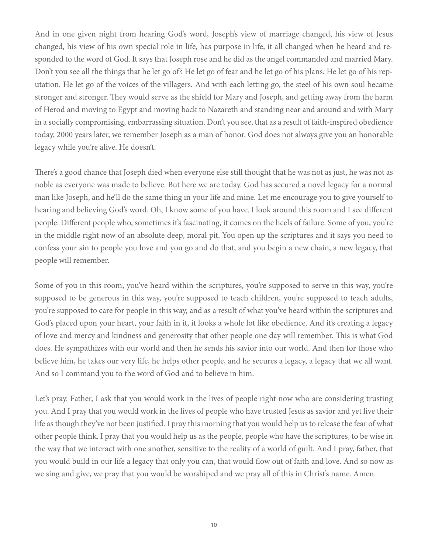And in one given night from hearing God's word, Joseph's view of marriage changed, his view of Jesus changed, his view of his own special role in life, has purpose in life, it all changed when he heard and responded to the word of God. It says that Joseph rose and he did as the angel commanded and married Mary. Don't you see all the things that he let go of? He let go of fear and he let go of his plans. He let go of his reputation. He let go of the voices of the villagers. And with each letting go, the steel of his own soul became stronger and stronger. They would serve as the shield for Mary and Joseph, and getting away from the harm of Herod and moving to Egypt and moving back to Nazareth and standing near and around and with Mary in a socially compromising, embarrassing situation. Don't you see, that as a result of faith-inspired obedience today, 2000 years later, we remember Joseph as a man of honor. God does not always give you an honorable legacy while you're alive. He doesn't.

There's a good chance that Joseph died when everyone else still thought that he was not as just, he was not as noble as everyone was made to believe. But here we are today. God has secured a novel legacy for a normal man like Joseph, and he'll do the same thing in your life and mine. Let me encourage you to give yourself to hearing and believing God's word. Oh, I know some of you have. I look around this room and I see different people. Different people who, sometimes it's fascinating, it comes on the heels of failure. Some of you, you're in the middle right now of an absolute deep, moral pit. You open up the scriptures and it says you need to confess your sin to people you love and you go and do that, and you begin a new chain, a new legacy, that people will remember.

Some of you in this room, you've heard within the scriptures, you're supposed to serve in this way, you're supposed to be generous in this way, you're supposed to teach children, you're supposed to teach adults, you're supposed to care for people in this way, and as a result of what you've heard within the scriptures and God's placed upon your heart, your faith in it, it looks a whole lot like obedience. And it's creating a legacy of love and mercy and kindness and generosity that other people one day will remember. This is what God does. He sympathizes with our world and then he sends his savior into our world. And then for those who believe him, he takes our very life, he helps other people, and he secures a legacy, a legacy that we all want. And so I command you to the word of God and to believe in him.

Let's pray. Father, I ask that you would work in the lives of people right now who are considering trusting you. And I pray that you would work in the lives of people who have trusted Jesus as savior and yet live their life as though they've not been justified. I pray this morning that you would help us to release the fear of what other people think. I pray that you would help us as the people, people who have the scriptures, to be wise in the way that we interact with one another, sensitive to the reality of a world of guilt. And I pray, father, that you would build in our life a legacy that only you can, that would flow out of faith and love. And so now as we sing and give, we pray that you would be worshiped and we pray all of this in Christ's name. Amen.